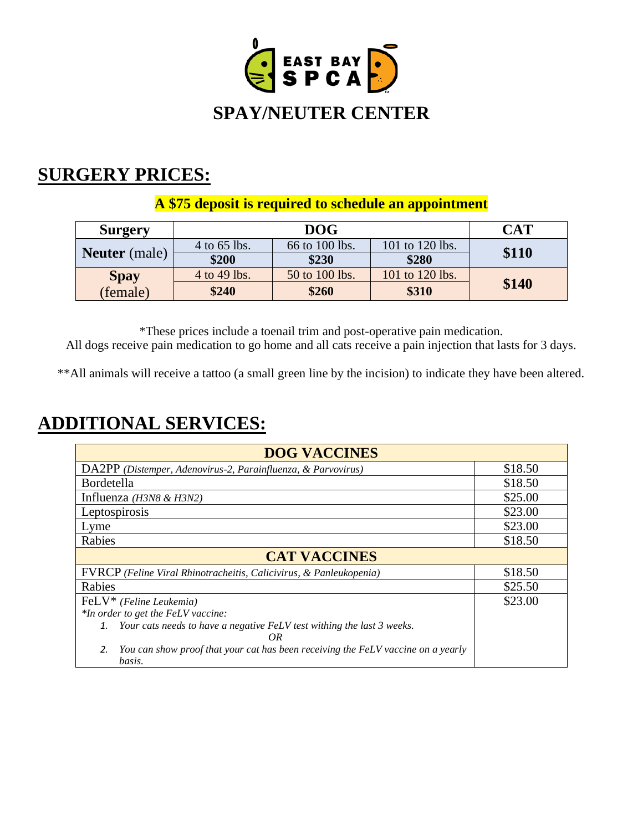

## **SURGERY PRICES:**

## **A \$75 deposit is required to schedule an appointment**

| <b>Surgery</b>       |              | DOG-           |                 | <b>CAT</b> |
|----------------------|--------------|----------------|-----------------|------------|
| <b>Neuter</b> (male) | 4 to 65 lbs. | 66 to 100 lbs. | 101 to 120 lbs. | \$110      |
|                      | \$200        | \$230          | \$280           |            |
| <b>Spay</b>          | 4 to 49 lbs. | 50 to 100 lbs. | 101 to 120 lbs. |            |
| (female)             | \$240        | \$260          | \$310           | \$140      |

\*These prices include a toenail trim and post-operative pain medication. All dogs receive pain medication to go home and all cats receive a pain injection that lasts for 3 days.

\*\*All animals will receive a tattoo (a small green line by the incision) to indicate they have been altered.

## **ADDITIONAL SERVICES:**

| <b>DOG VACCINES</b>                                                                              |         |  |  |  |
|--------------------------------------------------------------------------------------------------|---------|--|--|--|
| DA2PP (Distemper, Adenovirus-2, Parainfluenza, & Parvovirus)                                     | \$18.50 |  |  |  |
| Bordetella                                                                                       | \$18.50 |  |  |  |
| Influenza $(H3N8 \& H3N2)$                                                                       | \$25.00 |  |  |  |
| Leptospirosis                                                                                    | \$23.00 |  |  |  |
| Lyme                                                                                             | \$23.00 |  |  |  |
| Rabies                                                                                           | \$18.50 |  |  |  |
| <b>CAT VACCINES</b>                                                                              |         |  |  |  |
| FVRCP (Feline Viral Rhinotracheitis, Calicivirus, & Panleukopenia)                               | \$18.50 |  |  |  |
| Rabies                                                                                           | \$25.50 |  |  |  |
| $FeLV^*$ (Feline Leukemia)                                                                       | \$23.00 |  |  |  |
| *In order to get the FeLV vaccine:                                                               |         |  |  |  |
| Your cats needs to have a negative FeLV test withing the last 3 weeks.<br>1.<br>OR               |         |  |  |  |
| You can show proof that your cat has been receiving the FeLV vaccine on a yearly<br>2.<br>basis. |         |  |  |  |